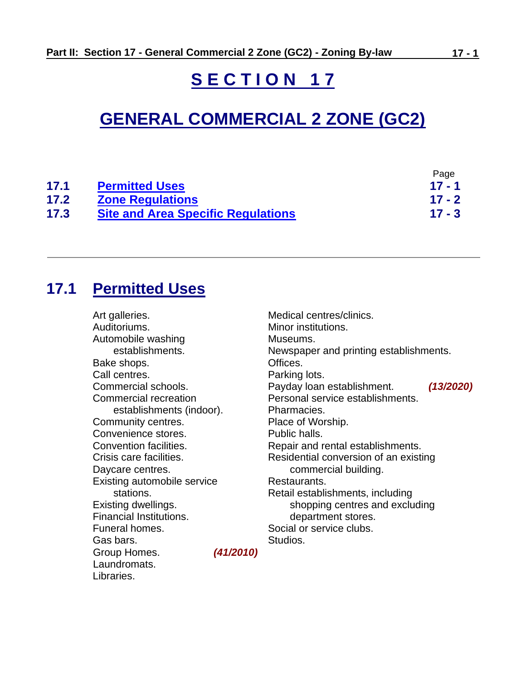# **S E C T I O N 1 7**

# **GENERAL COMMERCIAL 2 ZONE (GC2)**

|      |                                           | Page     |
|------|-------------------------------------------|----------|
| 17.1 | <b>Permitted Uses</b>                     | $17 - 1$ |
| 17.2 | <b>Zone Regulations</b>                   | $17 - 2$ |
| 17.3 | <b>Site and Area Specific Regulations</b> | $17 - 3$ |

## <span id="page-0-0"></span>**17.1 Permitted Uses**

Art galleries. Auditoriums. Automobile washing establishments. Bake shops. Call centres. Commercial schools. Commercial recreation establishments (indoor). Community centres. Convenience stores. Convention facilities. Crisis care facilities. Daycare centres. Existing automobile service stations. Existing dwellings. Financial Institutions. Funeral homes. Gas bars. Group Homes. *(41/2010)* Laundromats. Libraries.

Medical centres/clinics. Minor institutions. Museums. Newspaper and printing establishments. Offices. Parking lots. Payday loan establishment. *(13/2020)* Personal service establishments. Pharmacies. Place of Worship. Public halls. Repair and rental establishments. Residential conversion of an existing commercial building. Restaurants. Retail establishments, including shopping centres and excluding department stores. Social or service clubs. Studios.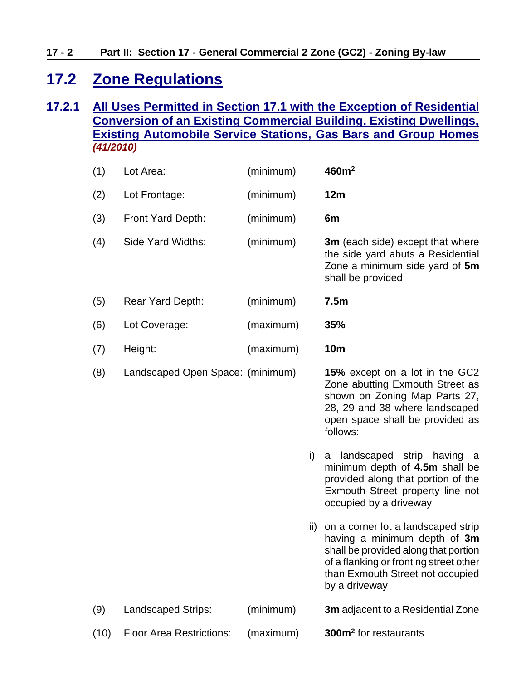## <span id="page-1-0"></span>**17.2 Zone Regulations**

## **17.2.1 All Uses Permitted in Section 17.1 with the Exception of Residential Conversion of an Existing Commercial Building, Existing Dwellings, Existing Automobile Service Stations, Gas Bars and Group Homes**  *(41/2010)*

| (1)  | Lot Area:                        | (minimum) |     | 460m <sup>2</sup>                                                                                                                                                                                         |
|------|----------------------------------|-----------|-----|-----------------------------------------------------------------------------------------------------------------------------------------------------------------------------------------------------------|
| (2)  | Lot Frontage:                    | (minimum) |     | 12m                                                                                                                                                                                                       |
| (3)  | Front Yard Depth:                | (minimum) |     | 6m                                                                                                                                                                                                        |
| (4)  | Side Yard Widths:                | (minimum) |     | <b>3m</b> (each side) except that where<br>the side yard abuts a Residential<br>Zone a minimum side yard of 5m<br>shall be provided                                                                       |
| (5)  | Rear Yard Depth:                 | (minimum) |     | 7.5m                                                                                                                                                                                                      |
| (6)  | Lot Coverage:                    | (maximum) |     | 35%                                                                                                                                                                                                       |
| (7)  | Height:                          | (maximum) |     | <b>10m</b>                                                                                                                                                                                                |
| (8)  | Landscaped Open Space: (minimum) |           |     | 15% except on a lot in the GC2<br>Zone abutting Exmouth Street as<br>shown on Zoning Map Parts 27,<br>28, 29 and 38 where landscaped<br>open space shall be provided as<br>follows:                       |
|      |                                  |           | i)  | a landscaped strip having a<br>minimum depth of 4.5m shall be<br>provided along that portion of the<br>Exmouth Street property line not<br>occupied by a driveway                                         |
|      |                                  |           | ii) | on a corner lot a landscaped strip<br>having a minimum depth of 3m<br>shall be provided along that portion<br>of a flanking or fronting street other<br>than Exmouth Street not occupied<br>by a driveway |
| (9)  | <b>Landscaped Strips:</b>        | (minimum) |     | <b>3m</b> adjacent to a Residential Zone                                                                                                                                                                  |
| (10) | <b>Floor Area Restrictions:</b>  | (maximum) |     | 300m <sup>2</sup> for restaurants                                                                                                                                                                         |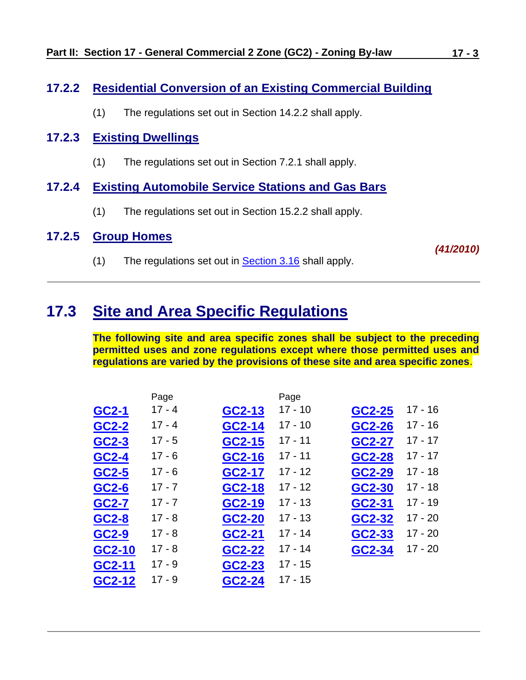## **17.2.2 Residential Conversion of an Existing Commercial Building**

(1) The regulations set out in Section 14.2.2 shall apply.

## **17.2.3 Existing Dwellings**

(1) The regulations set out in Section 7.2.1 shall apply.

## **17.2.4 Existing Automobile Service Stations and Gas Bars**

(1) The regulations set out in Section 15.2.2 shall apply.

### **17.2.5 Group Homes**

(1) The regulations set out in [Section 3.16](ZB_Sec_03_General_Regulations.doc#GR_3_16_Group_Homes) shall apply.

# <span id="page-2-0"></span>**17.3 Site and Area Specific Regulations**

**The following site and area specific zones shall be subject to the preceding permitted uses and zone regulations except where those permitted uses and regulations are varied by the provisions of these site and area specific zones**.

|        | Page     |        | Page      |        |           |
|--------|----------|--------|-----------|--------|-----------|
| GC2-1  | $17 - 4$ | GC2-13 | $17 - 10$ | GC2-25 | $17 - 16$ |
| GC2-2  | $17 - 4$ | GC2-14 | $17 - 10$ | GC2-26 | $17 - 16$ |
| GC2-3  | $17 - 5$ | GC2-15 | $17 - 11$ | GC2-27 | $17 - 17$ |
| GC2-4  | $17 - 6$ | GC2-16 | $17 - 11$ | GC2-28 | $17 - 17$ |
| GC2-5  | $17 - 6$ | GC2-17 | $17 - 12$ | GC2-29 | $17 - 18$ |
| GC2-6  | $17 - 7$ | GC2-18 | $17 - 12$ | GC2-30 | $17 - 18$ |
| GC2-7  | $17 - 7$ | GC2-19 | $17 - 13$ | GC2-31 | $17 - 19$ |
| GC2-8  | $17 - 8$ | GC2-20 | $17 - 13$ | GC2-32 | $17 - 20$ |
| GC2-9  | $17 - 8$ | GC2-21 | $17 - 14$ | GC2-33 | $17 - 20$ |
| GC2-10 | $17 - 8$ | GC2-22 | $17 - 14$ | GC2-34 | $17 - 20$ |
| GC2-11 | $17 - 9$ | GC2-23 | $17 - 15$ |        |           |
| GC2-12 | $17 - 9$ | GC2-24 | $17 - 15$ |        |           |

*(41/2010)*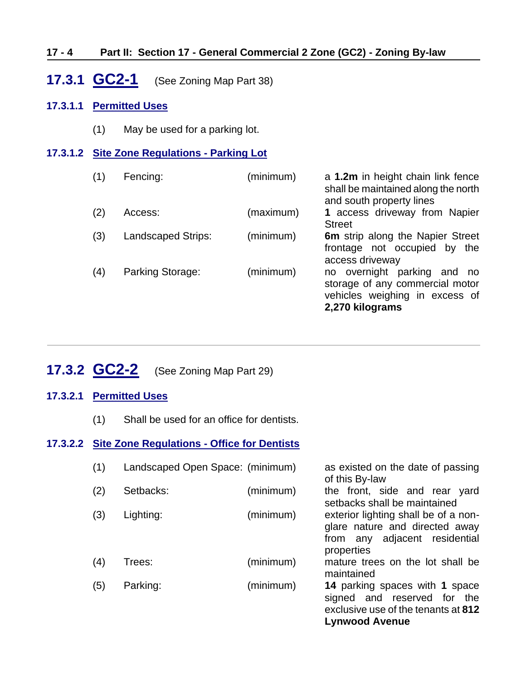## **17 - 4 Part II: Section 17 - General Commercial 2 Zone (GC2) - Zoning By-law**

## <span id="page-3-0"></span>**17.3.1 GC2-1** (See Zoning Map Part 38)

### **17.3.1.1 Permitted Uses**

(1) May be used for a parking lot.

## **17.3.1.2 Site Zone Regulations - Parking Lot**

| (1) | Fencing:                  | (minimum) | a 1.2m in height chain link fence<br>shall be maintained along the north<br>and south property lines                      |
|-----|---------------------------|-----------|---------------------------------------------------------------------------------------------------------------------------|
| (2) | Access:                   | (maximum) | 1 access driveway from Napier<br><b>Street</b>                                                                            |
| (3) | <b>Landscaped Strips:</b> | (minimum) | 6m strip along the Napier Street<br>frontage not occupied by<br>the<br>access driveway                                    |
| (4) | Parking Storage:          | (minimum) | no overnight parking and<br>no no<br>storage of any commercial motor<br>vehicles weighing in excess of<br>2,270 kilograms |

## <span id="page-3-1"></span>**17.3.2 GC2-2** (See Zoning Map Part 29)

### **17.3.2.1 Permitted Uses**

(1) Shall be used for an office for dentists.

## **17.3.2.2 Site Zone Regulations - Office for Dentists**

| (1) | Landscaped Open Space: (minimum) |           | as existed on the date of passing<br>of this By-law                                                                           |
|-----|----------------------------------|-----------|-------------------------------------------------------------------------------------------------------------------------------|
| (2) | Setbacks:                        | (minimum) | the front, side and rear yard<br>setbacks shall be maintained                                                                 |
| (3) | Lighting:                        | (minimum) | exterior lighting shall be of a non-<br>glare nature and directed away<br>from any adjacent residential<br>properties         |
| (4) | Trees:                           | (minimum) | mature trees on the lot shall be<br>maintained                                                                                |
| (5) | Parking:                         | (minimum) | 14 parking spaces with 1 space<br>signed and reserved for the<br>exclusive use of the tenants at 812<br><b>Lynwood Avenue</b> |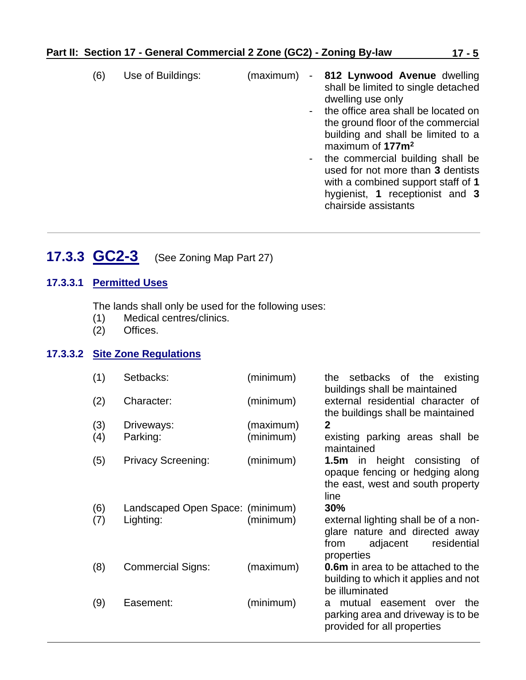- (6) Use of Buildings: (maximum) **812 Lynwood Avenue** dwelling shall be limited to single detached dwelling use only - the office area shall be located on the ground floor of the commercial building and shall be limited to a maximum of **177m<sup>2</sup>** - the commercial building shall be used for not more than **3** dentists with a combined support staff of **1** hygienist, **1** receptionist and **3** chairside assistants
- <span id="page-4-0"></span>**17.3.3 GC2-3** (See Zoning Map Part 27)

#### **17.3.3.1 Permitted Uses**

The lands shall only be used for the following uses:

- (1) Medical centres/clinics.
- (2) Offices.

#### **17.3.3.2 Site Zone Regulations**

| (1) | Setbacks:                        | (minimum) | setbacks of the existing<br>the<br>buildings shall be maintained                                                        |
|-----|----------------------------------|-----------|-------------------------------------------------------------------------------------------------------------------------|
| (2) | Character:                       | (minimum) | external residential character of<br>the buildings shall be maintained                                                  |
| (3) | Driveways:                       | (maximum) | $\mathbf{2}$                                                                                                            |
| (4) | Parking:                         | (minimum) | existing parking areas shall be<br>maintained                                                                           |
| (5) | <b>Privacy Screening:</b>        | (minimum) | <b>1.5m</b> in height consisting<br>of<br>opaque fencing or hedging along<br>the east, west and south property<br>line  |
| (6) | Landscaped Open Space: (minimum) |           | 30%                                                                                                                     |
| (7) | Lighting:                        | (minimum) | external lighting shall be of a non-<br>glare nature and directed away<br>residential<br>adjacent<br>from<br>properties |
| (8) | <b>Commercial Signs:</b>         | (maximum) | <b>0.6m</b> in area to be attached to the<br>building to which it applies and not<br>be illuminated                     |
| (9) | Easement:                        | (minimum) | mutual easement over the<br>a<br>parking area and driveway is to be<br>provided for all properties                      |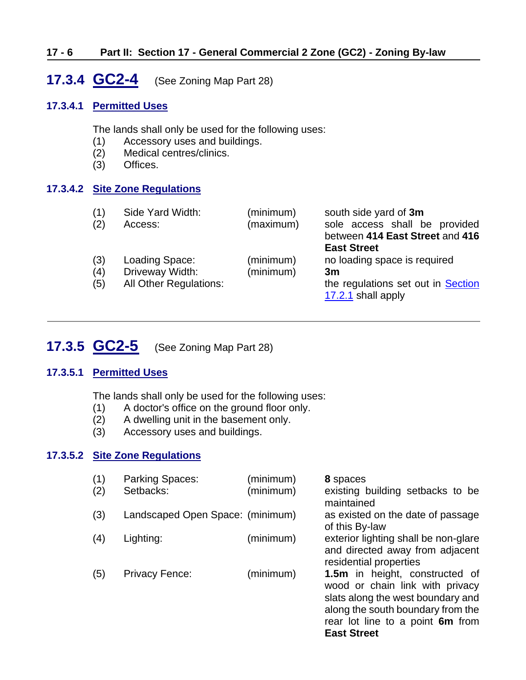#### **17 - 6 Part II: Section 17 - General Commercial 2 Zone (GC2) - Zoning By-law**

## <span id="page-5-0"></span>**17.3.4 GC2-4** (See Zoning Map Part 28)

#### **17.3.4.1 Permitted Uses**

The lands shall only be used for the following uses:

- (1) Accessory uses and buildings.
- (2) Medical centres/clinics.
- (3) Offices.

#### **17.3.4.2 Site Zone Regulations**

| (1)<br>(2)        | Side Yard Width:<br>Access:                                        | (minimum)<br>(maximum) | south side yard of 3m<br>sole access shall be provided<br>between 414 East Street and 416<br><b>East Street</b> |
|-------------------|--------------------------------------------------------------------|------------------------|-----------------------------------------------------------------------------------------------------------------|
| (3)<br>(4)<br>(5) | Loading Space:<br>Driveway Width:<br><b>All Other Regulations:</b> | (minimum)<br>(minimum) | no loading space is required<br>3m<br>the regulations set out in Section<br>17.2.1 shall apply                  |

## <span id="page-5-1"></span>**17.3.5 GC2-5** (See Zoning Map Part 28)

#### **17.3.5.1 Permitted Uses**

The lands shall only be used for the following uses:

- (1) A doctor's office on the ground floor only.
- (2) A dwelling unit in the basement only.
- (3) Accessory uses and buildings.

## **17.3.5.2 Site Zone Regulations**

| (1)<br>(2) | Parking Spaces:<br>Setbacks:     | (minimum)<br>(minimum) | 8 spaces<br>existing building setbacks to be<br>maintained                                                                                                                                            |
|------------|----------------------------------|------------------------|-------------------------------------------------------------------------------------------------------------------------------------------------------------------------------------------------------|
| (3)        | Landscaped Open Space: (minimum) |                        | as existed on the date of passage<br>of this By-law                                                                                                                                                   |
| (4)        | Lighting:                        | (minimum)              | exterior lighting shall be non-glare<br>and directed away from adjacent<br>residential properties                                                                                                     |
| (5)        | <b>Privacy Fence:</b>            | (minimum)              | 1.5m in height, constructed of<br>wood or chain link with privacy<br>slats along the west boundary and<br>along the south boundary from the<br>rear lot line to a point 6m from<br><b>East Street</b> |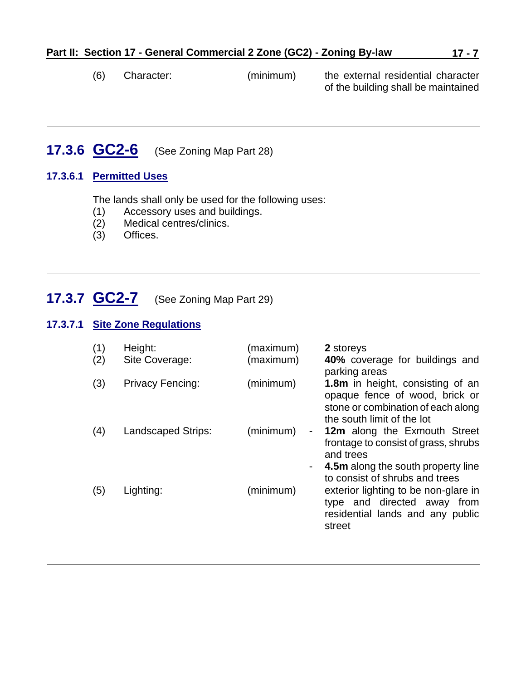(6) Character: (minimum) the external residential character of the building shall be maintained

# <span id="page-6-0"></span>**17.3.6 GC2-6** (See Zoning Map Part 28)

#### **17.3.6.1 Permitted Uses**

The lands shall only be used for the following uses:

- (1) Accessory uses and buildings.
- Medical centres/clinics.
- (3) Offices.

## <span id="page-6-1"></span>**17.3.7 GC2-7** (See Zoning Map Part 29)

#### **17.3.7.1 Site Zone Regulations**

| (1)<br>(2) | Height:<br>Site Coverage: | (maximum)<br>(maximum)      | 2 storeys<br>40% coverage for buildings and<br>parking areas                                                                                              |
|------------|---------------------------|-----------------------------|-----------------------------------------------------------------------------------------------------------------------------------------------------------|
| (3)        | <b>Privacy Fencing:</b>   | (minimum)                   | <b>1.8m</b> in height, consisting of an<br>opaque fence of wood, brick or<br>stone or combination of each along<br>the south limit of the lot             |
| (4)        | <b>Landscaped Strips:</b> | (minimum)<br>$\blacksquare$ | 12m along the Exmouth Street<br>frontage to consist of grass, shrubs<br>and trees<br>4.5m along the south property line<br>to consist of shrubs and trees |
| (5)        | Lighting:                 | (minimum)                   | exterior lighting to be non-glare in<br>type and directed away from<br>residential lands and any public<br>street                                         |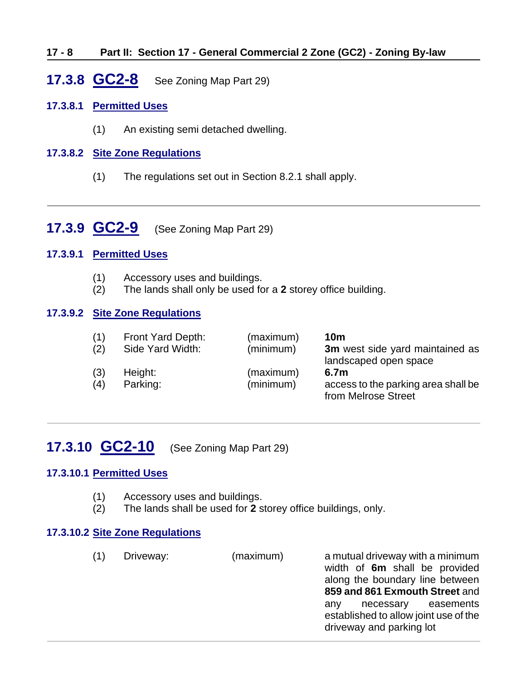#### **17 - 8 Part II: Section 17 - General Commercial 2 Zone (GC2) - Zoning By-law**

## <span id="page-7-0"></span>**17.3.8 GC2-8** See Zoning Map Part 29)

#### **17.3.8.1 Permitted Uses**

(1) An existing semi detached dwelling.

#### **17.3.8.2 Site Zone Regulations**

(1) The regulations set out in Section 8.2.1 shall apply.

## <span id="page-7-1"></span>**17.3.9 GC2-9** (See Zoning Map Part 29)

#### **17.3.9.1 Permitted Uses**

- (1) Accessory uses and buildings.
- (2) The lands shall only be used for a **2** storey office building.

#### **17.3.9.2 Site Zone Regulations**

| (1) | Front Yard Depth: | (maximum) | <b>10m</b>                                                      |
|-----|-------------------|-----------|-----------------------------------------------------------------|
| (2) | Side Yard Width:  | (minimum) | <b>3m</b> west side yard maintained as<br>landscaped open space |
| (3) | Height:           | (maximum) | 6.7m                                                            |
| (4) | Parking:          | (minimum) | access to the parking area shall be<br>from Melrose Street      |

## <span id="page-7-2"></span>**17.3.10 GC2-10** (See Zoning Map Part 29)

#### **17.3.10.1 Permitted Uses**

- (1) Accessory uses and buildings.
- (2) The lands shall be used for **2** storey office buildings, only.

#### **17.3.10.2 Site Zone Regulations**

(1) Driveway: (maximum) a mutual driveway with a minimum

width of **6m** shall be provided along the boundary line between **859 and 861 Exmouth Street** and any necessary easements established to allow joint use of the driveway and parking lot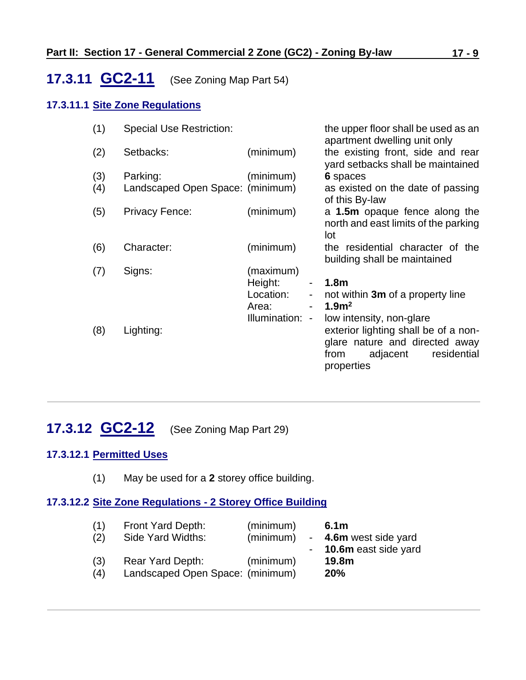# <span id="page-8-0"></span>**17.3.11 GC2-11** (See Zoning Map Part 54)

## **17.3.11.1 Site Zone Regulations**

| (1) | <b>Special Use Restriction:</b>  |                                                 | the upper floor shall be used as an<br>apartment dwelling unit only                                                                                 |
|-----|----------------------------------|-------------------------------------------------|-----------------------------------------------------------------------------------------------------------------------------------------------------|
| (2) | Setbacks:                        | (minimum)                                       | the existing front, side and rear<br>yard setbacks shall be maintained                                                                              |
| (3) | Parking:                         | (minimum)                                       | 6 spaces                                                                                                                                            |
| (4) | Landscaped Open Space: (minimum) |                                                 | as existed on the date of passing<br>of this By-law                                                                                                 |
| (5) | <b>Privacy Fence:</b>            | (minimum)                                       | a 1.5m opaque fence along the<br>north and east limits of the parking<br>lot                                                                        |
| (6) | Character:                       | (minimum)                                       | the residential character of the<br>building shall be maintained                                                                                    |
| (7) | Signs:                           | (maximum)<br>Height:<br>Location:<br>٠<br>Area: | 1.8 <sub>m</sub><br>not within 3m of a property line<br>1.9 <sup>m²</sup>                                                                           |
| (8) | Lighting:                        | Illumination:<br>$\qquad \qquad \blacksquare$   | low intensity, non-glare<br>exterior lighting shall be of a non-<br>glare nature and directed away<br>residential<br>adjacent<br>from<br>properties |

## <span id="page-8-1"></span>**17.3.12 GC2-12** (See Zoning Map Part 29)

## **17.3.12.1 Permitted Uses**

(1) May be used for a **2** storey office building.

## **17.3.12.2 Site Zone Regulations - 2 Storey Office Building**

| (1) | Front Yard Depth:                | (minimum) | 6.1 <sub>m</sub>      |
|-----|----------------------------------|-----------|-----------------------|
| (2) | Side Yard Widths:                | (minimum) | - 4.6m west side yard |
|     |                                  |           | 10.6m east side yard  |
| (3) | Rear Yard Depth:                 | (minimum) | 19.8m                 |
| (4) | Landscaped Open Space: (minimum) |           | <b>20%</b>            |
|     |                                  |           |                       |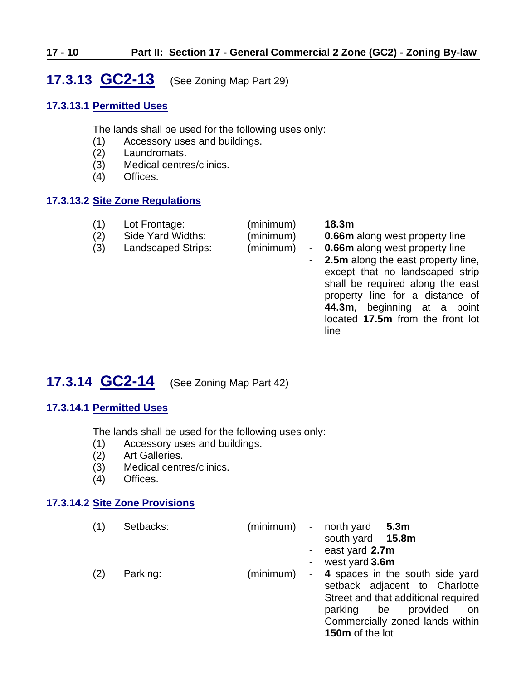## <span id="page-9-0"></span>**17.3.13 GC2-13** (See Zoning Map Part 29)

#### **17.3.13.1 Permitted Uses**

The lands shall be used for the following uses only:

- (1) Accessory uses and buildings.
- (2) Laundromats.
- (3) Medical centres/clinics.
- (4) Offices.

### **17.3.13.2 Site Zone Regulations**

| (1)<br>(2)<br>(3) | Lot Frontage:<br>Side Yard Widths:<br><b>Landscaped Strips:</b> | (minimum)<br>(minimum)<br>(minimum) | $\sim$ | 18.3 <sub>m</sub><br><b>0.66m</b> along west property line<br><b>0.66m</b> along west property line<br><b>2.5m</b> along the east property line,<br>except that no landscaped strip<br>shall be required along the east<br>property line for a distance of<br>44.3m, beginning at a<br>point<br>located 17.5m from the front lot<br>line |
|-------------------|-----------------------------------------------------------------|-------------------------------------|--------|------------------------------------------------------------------------------------------------------------------------------------------------------------------------------------------------------------------------------------------------------------------------------------------------------------------------------------------|
|-------------------|-----------------------------------------------------------------|-------------------------------------|--------|------------------------------------------------------------------------------------------------------------------------------------------------------------------------------------------------------------------------------------------------------------------------------------------------------------------------------------------|

# <span id="page-9-1"></span>**17.3.14 GC2-14** (See Zoning Map Part 42)

#### **17.3.14.1 Permitted Uses**

The lands shall be used for the following uses only:

- (1) Accessory uses and buildings.
- (2) Art Galleries.
- (3) Medical centres/clinics.
- (4) Offices.

#### **17.3.14.2 Site Zone Provisions**

| (1) | Setbacks: |           |            | (minimum) - north yard 5.3m         |
|-----|-----------|-----------|------------|-------------------------------------|
|     |           |           |            | - south yard 15.8m                  |
|     |           |           |            | - east yard $2.7m$                  |
|     |           |           | $\sim 100$ | west yard 3.6m                      |
| (2) | Parking:  | (minimum) |            | - 4 spaces in the south side yard   |
|     |           |           |            | setback adjacent to Charlotte       |
|     |           |           |            | Street and that additional required |
|     |           |           |            | parking be provided<br>on on        |
|     |           |           |            | Commercially zoned lands within     |
|     |           |           |            | 150m of the lot                     |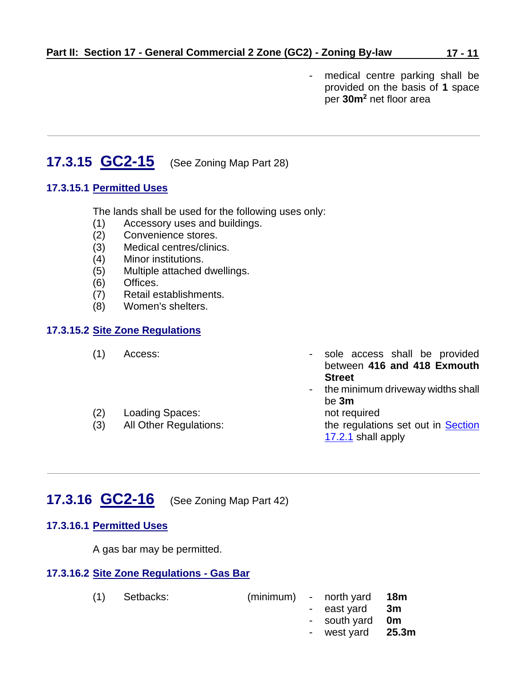- medical centre parking shall be provided on the basis of **1** space per **30m<sup>2</sup>** net floor area

# <span id="page-10-0"></span>**17.3.15 GC2-15** (See Zoning Map Part 28)

## **17.3.15.1 Permitted Uses**

The lands shall be used for the following uses only:

- (1) Accessory uses and buildings.
- (2) Convenience stores.
- (3) Medical centres/clinics.
- (4) Minor institutions.
- (5) Multiple attached dwellings.
- (6) Offices.
- (7) Retail establishments.
- (8) Women's shelters.

## **17.3.15.2 Site Zone Regulations**

| (1) | Access:                       | - sole access shall be provided     |
|-----|-------------------------------|-------------------------------------|
|     |                               | between 416 and 418 Exmouth         |
|     |                               | <b>Street</b>                       |
|     |                               | - the minimum driveway widths shall |
|     |                               | be 3m                               |
| (2) | Loading Spaces:               | not required                        |
| (3) | <b>All Other Regulations:</b> | the regulations set out in Section  |
|     |                               | 17.2.1 shall apply                  |

## <span id="page-10-1"></span>**17.3.16 GC2-16** (See Zoning Map Part 42)

### **17.3.16.1 Permitted Uses**

A gas bar may be permitted.

#### **17.3.16.2 Site Zone Regulations - Gas Bar**

| $(1)$ Setbacks: |  | $(minimum)$ - north yard 18m |  |
|-----------------|--|------------------------------|--|
|                 |  | - east yard <b>3m</b>        |  |
|                 |  | - south yard <b>0m</b>       |  |

- west yard **25.3m**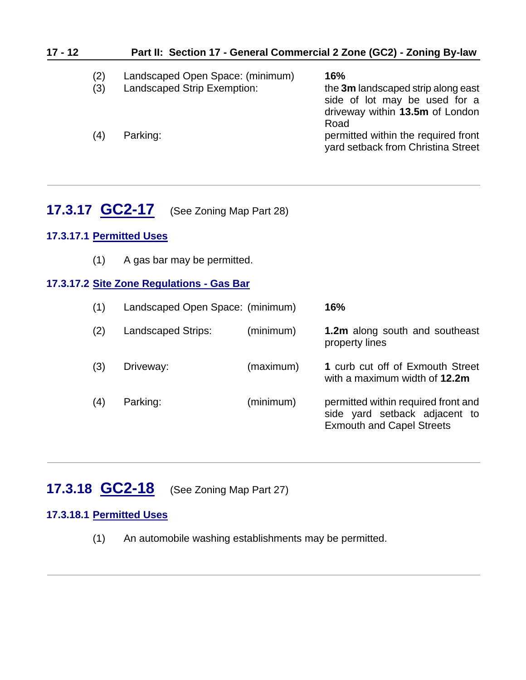| $17 - 12$ | Part II: Section 17 - General Commercial 2 Zone (GC2) - Zoning By-law |                                  |                                                                                                        |  |  |
|-----------|-----------------------------------------------------------------------|----------------------------------|--------------------------------------------------------------------------------------------------------|--|--|
|           | (2)                                                                   | Landscaped Open Space: (minimum) | 16%                                                                                                    |  |  |
|           | (3)                                                                   | Landscaped Strip Exemption:      | the 3m landscaped strip along east<br>side of lot may be used for a<br>driveway within 13.5m of London |  |  |
|           | (4)                                                                   | Parking:                         | Road<br>permitted within the required front<br>yard setback from Christina Street                      |  |  |

## <span id="page-11-0"></span>**17.3.17 GC2-17** (See Zoning Map Part 28)

## **17.3.17.1 Permitted Uses**

(1) A gas bar may be permitted.

### **17.3.17.2 Site Zone Regulations - Gas Bar**

| (1) | Landscaped Open Space: (minimum) |           | 16%                                                                                                      |
|-----|----------------------------------|-----------|----------------------------------------------------------------------------------------------------------|
| (2) | Landscaped Strips:               | (minimum) | <b>1.2m</b> along south and southeast<br>property lines                                                  |
| (3) | Driveway:                        | (maximum) | 1 curb cut off of Exmouth Street<br>with a maximum width of 12.2m                                        |
| (4) | Parking:                         | (minimum) | permitted within required front and<br>side yard setback adjacent to<br><b>Exmouth and Capel Streets</b> |

# <span id="page-11-1"></span>**17.3.18 GC2-18** (See Zoning Map Part 27)

## **17.3.18.1 Permitted Uses**

(1) An automobile washing establishments may be permitted.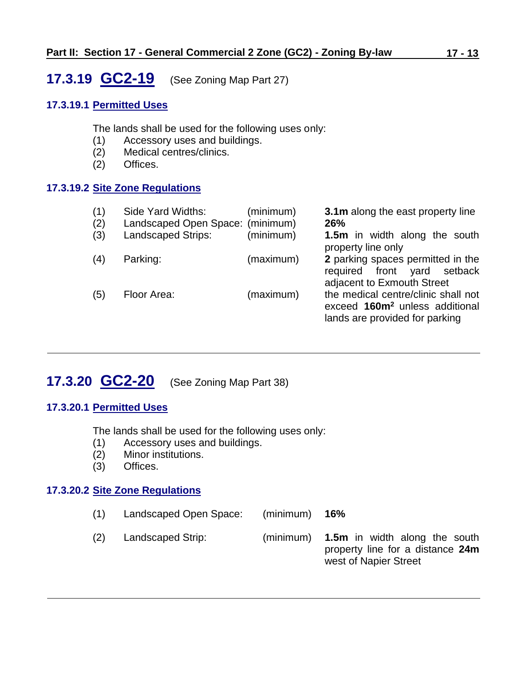# <span id="page-12-0"></span>**17.3.19 GC2-19** (See Zoning Map Part 27)

## **17.3.19.1 Permitted Uses**

The lands shall be used for the following uses only:

- (1) Accessory uses and buildings.
- (2) Medical centres/clinics.
- (2) Offices.

### **17.3.19.2 Site Zone Regulations**

| (1)<br>(2)<br>(3) | Side Yard Widths:<br>Landscaped Open Space: (minimum)<br><b>Landscaped Strips:</b> | (minimum)<br>(minimum) | 3.1m along the east property line<br>26%<br><b>1.5m</b> in width along the south                                    |
|-------------------|------------------------------------------------------------------------------------|------------------------|---------------------------------------------------------------------------------------------------------------------|
| (4)               | Parking:                                                                           | (maximum)              | property line only<br>2 parking spaces permitted in the                                                             |
|                   |                                                                                    |                        | required front yard setback<br>adjacent to Exmouth Street                                                           |
| (5)               | Floor Area:                                                                        | (maximum)              | the medical centre/clinic shall not<br>exceed 160m <sup>2</sup> unless additional<br>lands are provided for parking |

# <span id="page-12-1"></span>**17.3.20 GC2-20** (See Zoning Map Part 38)

### **17.3.20.1 Permitted Uses**

The lands shall be used for the following uses only:

- (1) Accessory uses and buildings.
- (2) Minor institutions.
- (3) Offices.

### **17.3.20.2 Site Zone Regulations**

- (1) Landscaped Open Space: (minimum) **16%**
- (2) Landscaped Strip: (minimum) **1.5m** in width along the south property line for a distance **24m** west of Napier Street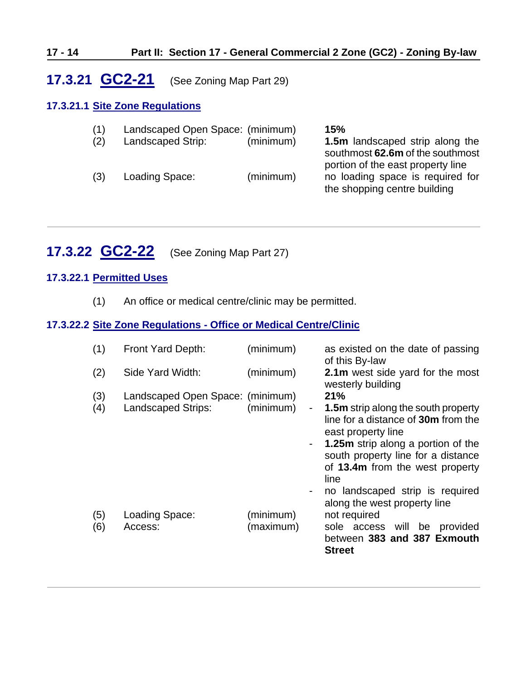#### **17 - 14 Part II: Section 17 - General Commercial 2 Zone (GC2) - Zoning By-law**

## <span id="page-13-0"></span>**17.3.21 GC2-21** (See Zoning Map Part 29)

### **17.3.21.1 Site Zone Regulations**

| (1) | Landscaped Open Space: (minimum) |           | 15%                                                                                                   |
|-----|----------------------------------|-----------|-------------------------------------------------------------------------------------------------------|
| (2) | Landscaped Strip:                | (minimum) | <b>1.5m</b> landscaped strip along the<br>southmost 62.6m of the southmost                            |
| (3) | Loading Space:                   | (minimum) | portion of the east property line<br>no loading space is required for<br>the shopping centre building |

## <span id="page-13-1"></span>**17.3.22 GC2-22** (See Zoning Map Part 27)

## **17.3.22.1 Permitted Uses**

(1) An office or medical centre/clinic may be permitted.

## **17.3.22.2 Site Zone Regulations - Office or Medical Centre/Clinic**

| (1)        | Front Yard Depth:                                      | (minimum)                                               | as existed on the date of passing<br>of this By-law                                                                                                                                                                                          |
|------------|--------------------------------------------------------|---------------------------------------------------------|----------------------------------------------------------------------------------------------------------------------------------------------------------------------------------------------------------------------------------------------|
| (2)        | Side Yard Width:                                       | (minimum)                                               | 2.1m west side yard for the most<br>westerly building                                                                                                                                                                                        |
| (3)<br>(4) | Landscaped Open Space: (minimum)<br>Landscaped Strips: | (minimum)<br>$\overline{\phantom{a}}$<br>$\blacksquare$ | 21%<br><b>1.5m</b> strip along the south property<br>line for a distance of 30m from the<br>east property line<br><b>1.25m</b> strip along a portion of the<br>south property line for a distance<br>of 13.4m from the west property<br>line |
| (5)<br>(6) | Loading Space:<br>Access:                              | (minimum)<br>(maximum)                                  | no landscaped strip is required<br>along the west property line<br>not required<br>sole access will be provided<br>between 383 and 387 Exmouth<br><b>Street</b>                                                                              |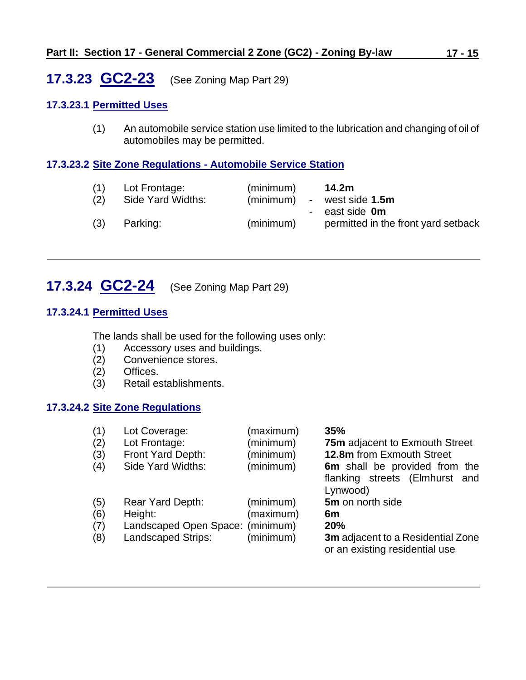## <span id="page-14-0"></span>**17.3.23 GC2-23** (See Zoning Map Part 29)

### **17.3.23.1 Permitted Uses**

(1) An automobile service station use limited to the lubrication and changing of oil of automobiles may be permitted.

## **17.3.23.2 Site Zone Regulations - Automobile Service Station**

| (1)<br>(2) | Lot Frontage:<br>Side Yard Widths: | (minimum)<br>(minimum)<br>$\sim$ | 14.2m<br>west side 1.5m                                    |
|------------|------------------------------------|----------------------------------|------------------------------------------------------------|
| (3)        | Parking:                           | (minimum)                        | east side <b>0m</b><br>permitted in the front yard setback |

# <span id="page-14-1"></span>**17.3.24 GC2-24** (See Zoning Map Part 29)

### **17.3.24.1 Permitted Uses**

The lands shall be used for the following uses only:

- (1) Accessory uses and buildings.
- (2) Convenience stores.
- (2) Offices.
- (3) Retail establishments.

## **17.3.24.2 Site Zone Regulations**

| (1)<br>(2) | Lot Coverage:<br>Lot Frontage:   | (maximum)<br>(minimum) | 35%<br><b>75m</b> adjacent to Exmouth Street                                |
|------------|----------------------------------|------------------------|-----------------------------------------------------------------------------|
| (3)        | Front Yard Depth:                | (minimum)              | 12.8m from Exmouth Street                                                   |
| (4)        | Side Yard Widths:                | (minimum)              | 6m shall be provided from the<br>flanking streets (Elmhurst and<br>Lynwood) |
| (5)        | Rear Yard Depth:                 | (minimum)              | 5m on north side                                                            |
| (6)        | Height:                          | (maximum)              | 6m                                                                          |
| (7)        | Landscaped Open Space: (minimum) |                        | <b>20%</b>                                                                  |
| (8)        | <b>Landscaped Strips:</b>        | (minimum)              | 3m adjacent to a Residential Zone<br>or an existing residential use         |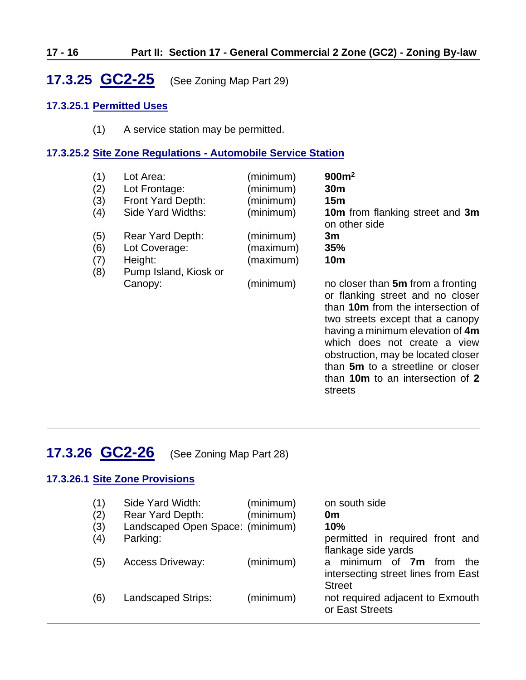### **17 - 16 Part II: Section 17 - General Commercial 2 Zone (GC2) - Zoning By-law**

<span id="page-15-0"></span>**17.3.25 GC2-25** (See Zoning Map Part 29)

#### **17.3.25.1 Permitted Uses**

(1) A service station may be permitted.

### **17.3.25.2 Site Zone Regulations - Automobile Service Station**

| (1)<br>(2)<br>(3)<br>(4) | Lot Area:<br>Lot Frontage:<br>Front Yard Depth:<br>Side Yard Widths:  | (minimum)<br>(minimum)<br>(minimum)<br>(minimum) | 900m <sup>2</sup><br>30 <sub>m</sub><br>15m<br>10m from flanking street and 3m                                                                                                                                                                                                                                                    |
|--------------------------|-----------------------------------------------------------------------|--------------------------------------------------|-----------------------------------------------------------------------------------------------------------------------------------------------------------------------------------------------------------------------------------------------------------------------------------------------------------------------------------|
| (5)<br>(6)<br>(7)<br>(8) | Rear Yard Depth:<br>Lot Coverage:<br>Height:<br>Pump Island, Kiosk or | (minimum)<br>(maximum)<br>(maximum)              | on other side<br>3m<br>35%<br><b>10m</b>                                                                                                                                                                                                                                                                                          |
|                          | Canopy:                                                               | (minimum)                                        | no closer than 5m from a fronting<br>or flanking street and no closer<br>than 10m from the intersection of<br>two streets except that a canopy<br>having a minimum elevation of 4m<br>which does not create a view<br>obstruction, may be located closer<br>than 5m to a streetline or closer<br>than 10m to an intersection of 2 |

streets

## <span id="page-15-1"></span>**17.3.26 GC2-26** (See Zoning Map Part 28)

### **17.3.26.1 Site Zone Provisions**

| (1) | Side Yard Width:                 | (minimum) | on south side                                                                   |
|-----|----------------------------------|-----------|---------------------------------------------------------------------------------|
| (2) | Rear Yard Depth:                 | (minimum) | 0 <sub>m</sub>                                                                  |
| (3) | Landscaped Open Space: (minimum) |           | 10%                                                                             |
| (4) | Parking:                         |           | permitted in required front and                                                 |
|     |                                  |           | flankage side yards                                                             |
| (5) | <b>Access Driveway:</b>          | (minimum) | minimum of <b>7m</b><br>from<br>the<br>a<br>intersecting street lines from East |
|     |                                  |           | <b>Street</b>                                                                   |
| (6) | <b>Landscaped Strips:</b>        | (minimum) | not required adjacent to Exmouth<br>or East Streets                             |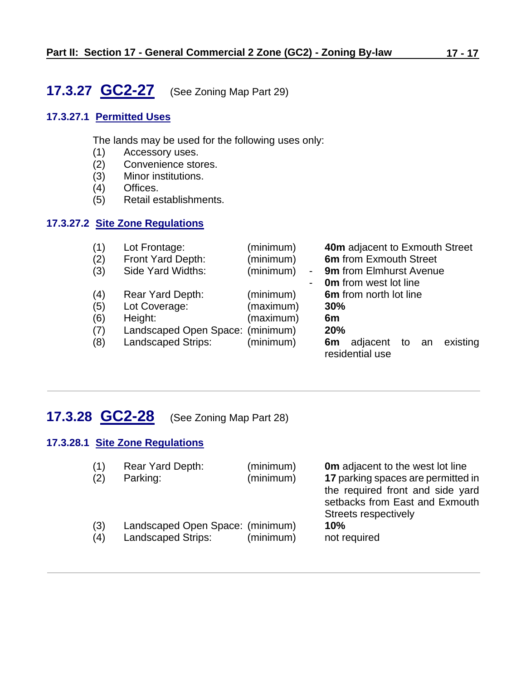# <span id="page-16-0"></span>**17.3.27 GC2-27** (See Zoning Map Part 29)

## **17.3.27.1 Permitted Uses**

The lands may be used for the following uses only:

- (1) Accessory uses.
- (2) Convenience stores.<br>(3) Minor institutions.
- Minor institutions.
- (4) Offices.
- (5) Retail establishments.

### **17.3.27.2 Site Zone Regulations**

| (1) | Lot Frontage:                    | (minimum)                             | 40m adjacent to Exmouth Street                      |
|-----|----------------------------------|---------------------------------------|-----------------------------------------------------|
| (2) | Front Yard Depth:                | (minimum)                             | 6m from Exmouth Street                              |
| (3) | Side Yard Widths:                | (minimum)<br>$\overline{\phantom{a}}$ | <b>9m</b> from Elmhurst Avenue                      |
|     |                                  |                                       | <b>0m</b> from west lot line                        |
| (4) | <b>Rear Yard Depth:</b>          | (minimum)                             | 6m from north lot line                              |
| (5) | Lot Coverage:                    | (maximum)                             | 30%                                                 |
| (6) | Height:                          | (maximum)                             | 6m                                                  |
| (7) | Landscaped Open Space: (minimum) |                                       | 20%                                                 |
| (8) | Landscaped Strips:               | (minimum)                             | existing<br>adjacent to an<br>6m<br>residential use |

## <span id="page-16-1"></span>**17.3.28 GC2-28** (See Zoning Map Part 28)

#### **17.3.28.1 Site Zone Regulations**

| (1)<br>(2) | Rear Yard Depth:<br>Parking:     | (minimum)<br>(minimum) | <b>Om</b> adjacent to the west lot line<br>17 parking spaces are permitted in<br>the required front and side yard<br>setbacks from East and Exmouth<br>Streets respectively |
|------------|----------------------------------|------------------------|-----------------------------------------------------------------------------------------------------------------------------------------------------------------------------|
| (3)        | Landscaped Open Space: (minimum) | (minimum)              | 10%                                                                                                                                                                         |
| (4)        | <b>Landscaped Strips:</b>        |                        | not required                                                                                                                                                                |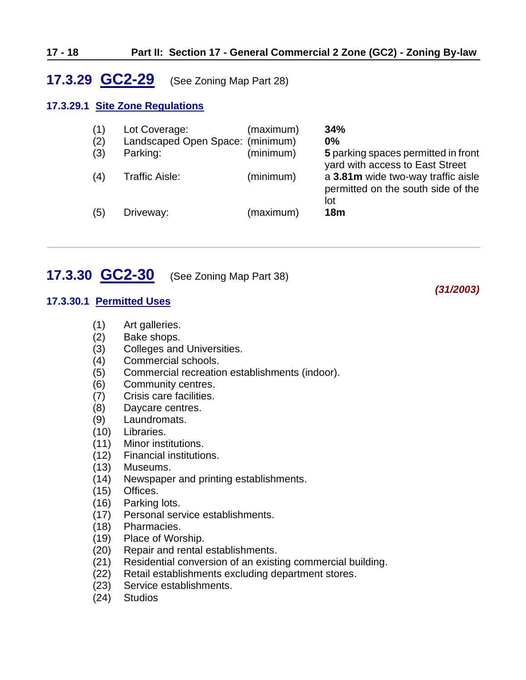#### **17 - 18 Part II: Section 17 - General Commercial 2 Zone (GC2) - Zoning By-law**

## <span id="page-17-0"></span>**17.3.29 GC2-29** (See Zoning Map Part 28)

#### **17.3.29.1 Site Zone Regulations**

| (1) | Lot Coverage:                    | (maximum) | 34%                                                                             |
|-----|----------------------------------|-----------|---------------------------------------------------------------------------------|
| (2) | Landscaped Open Space: (minimum) |           | $0\%$                                                                           |
| (3) | Parking:                         | (minimum) | 5 parking spaces permitted in front<br>yard with access to East Street          |
| (4) | Traffic Aisle:                   | (minimum) | a 3.81m wide two-way traffic aisle<br>permitted on the south side of the<br>lot |
| (5) | Driveway:                        | (maximum) | 18 <sub>m</sub>                                                                 |

*(31/2003)*

## <span id="page-17-1"></span>**17.3.30 GC2-30** (See Zoning Map Part 38)

#### **17.3.30.1 Permitted Uses**

- (1) Art galleries.
- (2) Bake shops.
- (3) Colleges and Universities.
- (4) Commercial schools.
- (5) Commercial recreation establishments (indoor).
- (6) Community centres.
- (7) Crisis care facilities.
- (8) Daycare centres.
- (9) Laundromats.
- (10) Libraries.
- (11) Minor institutions.
- (12) Financial institutions.
- (13) Museums.
- (14) Newspaper and printing establishments.
- (15) Offices.
- (16) Parking lots.
- (17) Personal service establishments.
- (18) Pharmacies.
- (19) Place of Worship.
- (20) Repair and rental establishments.
- (21) Residential conversion of an existing commercial building.
- (22) Retail establishments excluding department stores.
- (23) Service establishments.
- (24) Studios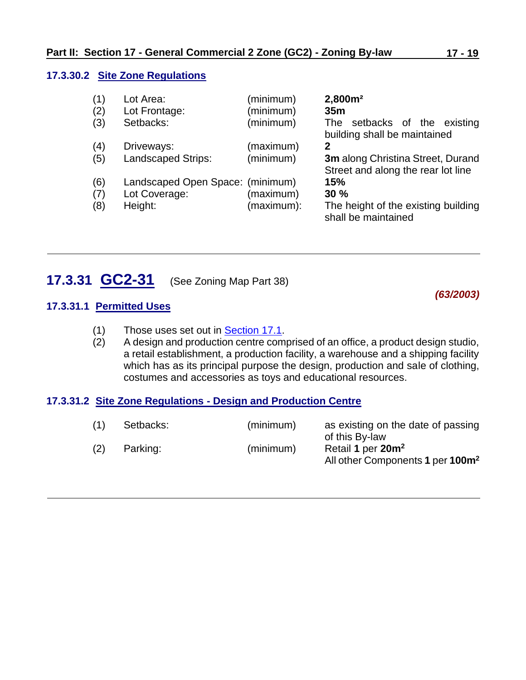#### **17.3.30.2 Site Zone Regulations**

| (1)<br>(2)<br>(3) | Lot Area:<br>Lot Frontage:<br>Setbacks: | (minimum)<br>(minimum)<br>(minimum) | 2,800m <sup>2</sup><br>35 <sub>m</sub><br>setbacks of the existing<br>The<br>building shall be maintained |
|-------------------|-----------------------------------------|-------------------------------------|-----------------------------------------------------------------------------------------------------------|
| (4)               | Driveways:                              | (maximum)                           | 2                                                                                                         |
| (5)               | <b>Landscaped Strips:</b>               | (minimum)                           | 3m along Christina Street, Durand<br>Street and along the rear lot line                                   |
| (6)               | Landscaped Open Space: (minimum)        |                                     | 15%                                                                                                       |
| (7)               | Lot Coverage:                           | (maximum)                           | 30%                                                                                                       |
| (8)               | Height:                                 | (maximum):                          | The height of the existing building<br>shall be maintained                                                |

## <span id="page-18-0"></span>**17.3.31 GC2-31** (See Zoning Map Part 38)

*(63/2003)*

## **17.3.31.1 Permitted Uses**

- (1) Those uses set out in **Section 17.1**.
- (2) A design and production centre comprised of an office, a product design studio, a retail establishment, a production facility, a warehouse and a shipping facility which has as its principal purpose the design, production and sale of clothing, costumes and accessories as toys and educational resources.

### **17.3.31.2 Site Zone Regulations - Design and Production Centre**

| (1) | Setbacks: | (minimum) | as existing on the date of passing<br>of this By-law                          |
|-----|-----------|-----------|-------------------------------------------------------------------------------|
|     | Parking:  | (minimum) | Retail 1 per 20m <sup>2</sup><br>All other Components 1 per 100m <sup>2</sup> |